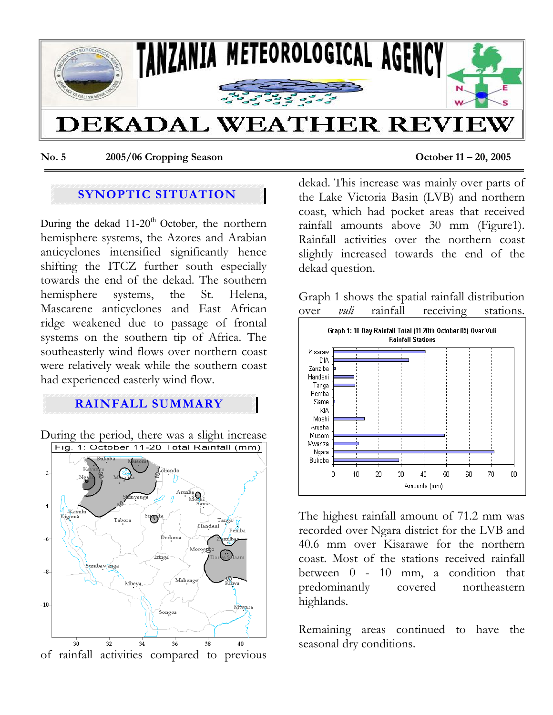

**No. 5 2005/06 Cropping Season October 11 – 20, 2005** 

# **SYNOPTIC SITUATION**

During the dekad  $11{\text -}20^{\text{th}}$  October, the northern hemisphere systems, the Azores and Arabian anticyclones intensified significantly hence shifting the ITCZ further south especially towards the end of the dekad. The southern hemisphere systems, the St. Helena, Mascarene anticyclones and East African ridge weakened due to passage of frontal systems on the southern tip of Africa. The southeasterly wind flows over northern coast were relatively weak while the southern coast had experienced easterly wind flow.

## **RAINFALL SUMMARY**

During the period, there was a slight increase<br>Fig. 1: October 11-20 Total Rainfall (mm)



dekad. This increase was mainly over parts of the Lake Victoria Basin (LVB) and northern coast, which had pocket areas that received rainfall amounts above 30 mm (Figure1). Rainfall activities over the northern coast slightly increased towards the end of the dekad question.

Graph 1 shows the spatial rainfall distribution over *vuli* rainfall receiving stations.



The highest rainfall amount of 71.2 mm was recorded over Ngara district for the LVB and 40.6 mm over Kisarawe for the northern coast. Most of the stations received rainfall between 0 - 10 mm, a condition that predominantly covered northeastern highlands.

Remaining areas continued to have the seasonal dry conditions.